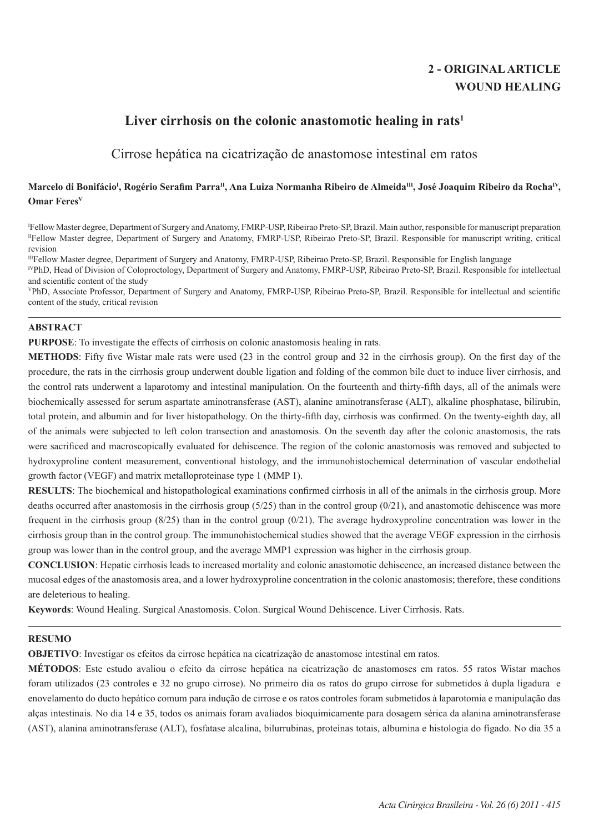# **2 - ORIGINAL ARTICLE WOUND HEALING**

# **Liver cirrhosis on the colonic anastomotic healing in rats1**

Cirrose hepática na cicatrização de anastomose intestinal em ratos

# Marcelo di Bonifácio<sup>r</sup>, Rogério Serafim Parra<sup>n</sup>, Ana Luiza Normanha Ribeiro de Almeida<sup>m</sup>, José Joaquim Ribeiro da Rocha<sup>ry</sup>, **Omar FeresV**

I Fellow Master degree, Department of Surgery and Anatomy, FMRP-USP, Ribeirao Preto-SP, Brazil. Main author, responsible for manuscript preparation IIFellow Master degree, Department of Surgery and Anatomy, FMRP-USP, Ribeirao Preto-SP, Brazil. Responsible for manuscript writing, critical revision

IIIFellow Master degree, Department of Surgery and Anatomy, FMRP-USP, Ribeirao Preto-SP, Brazil. Responsible for English language

IVPhD, Head of Division of Coloproctology, Department of Surgery and Anatomy, FMRP-USP, Ribeirao Preto-SP, Brazil. Responsible for intellectual and scientific content of the study

<sup>V</sup>PhD, Associate Professor, Department of Surgery and Anatomy, FMRP-USP, Ribeirao Preto-SP, Brazil. Responsible for intellectual and scientific content of the study, critical revision

# **ABSTRACT**

**PURPOSE**: To investigate the effects of cirrhosis on colonic anastomosis healing in rats.

**METHODS**: Fifty five Wistar male rats were used (23 in the control group and 32 in the cirrhosis group). On the first day of the procedure, the rats in the cirrhosis group underwent double ligation and folding of the common bile duct to induce liver cirrhosis, and the control rats underwent a laparotomy and intestinal manipulation. On the fourteenth and thirty-fifth days, all of the animals were biochemically assessed for serum aspartate aminotransferase (AST), alanine aminotransferase (ALT), alkaline phosphatase, bilirubin, total protein, and albumin and for liver histopathology. On the thirty-fifth day, cirrhosis was confirmed. On the twenty-eighth day, all of the animals were subjected to left colon transection and anastomosis. On the seventh day after the colonic anastomosis, the rats were sacrificed and macroscopically evaluated for dehiscence. The region of the colonic anastomosis was removed and subjected to hydroxyproline content measurement, conventional histology, and the immunohistochemical determination of vascular endothelial growth factor (VEGF) and matrix metalloproteinase type 1 (MMP 1).

**RESULTS**: The biochemical and histopathological examinations confirmed cirrhosis in all of the animals in the cirrhosis group. More deaths occurred after anastomosis in the cirrhosis group  $(5/25)$  than in the control group  $(0/21)$ , and anastomotic dehiscence was more frequent in the cirrhosis group (8/25) than in the control group (0/21). The average hydroxyproline concentration was lower in the cirrhosis group than in the control group. The immunohistochemical studies showed that the average VEGF expression in the cirrhosis group was lower than in the control group, and the average MMP1 expression was higher in the cirrhosis group.

**CONCLUSION**: Hepatic cirrhosis leads to increased mortality and colonic anastomotic dehiscence, an increased distance between the mucosal edges of the anastomosis area, and a lower hydroxyproline concentration in the colonic anastomosis; therefore, these conditions are deleterious to healing.

**Keywords**: Wound Healing. Surgical Anastomosis. Colon. Surgical Wound Dehiscence. Liver Cirrhosis. Rats.

## **RESUMO**

**OBJETIVO**: Investigar os efeitos da cirrose hepática na cicatrização de anastomose intestinal em ratos.

**MÉTODOS**: Este estudo avaliou o efeito da cirrose hepática na cicatrização de anastomoses em ratos. 55 ratos Wistar machos foram utilizados (23 controles e 32 no grupo cirrose). No primeiro dia os ratos do grupo cirrose for submetidos à dupla ligadura e enovelamento do ducto hepático comum para indução de cirrose e os ratos controles foram submetidos à laparotomia e manipulação das alças intestinais. No dia 14 e 35, todos os animais foram avaliados bioquimicamente para dosagem sérica da alanina aminotransferase (AST), alanina aminotransferase (ALT), fosfatase alcalina, bilurrubinas, proteínas totais, albumina e histologia do fígado. No dia 35 a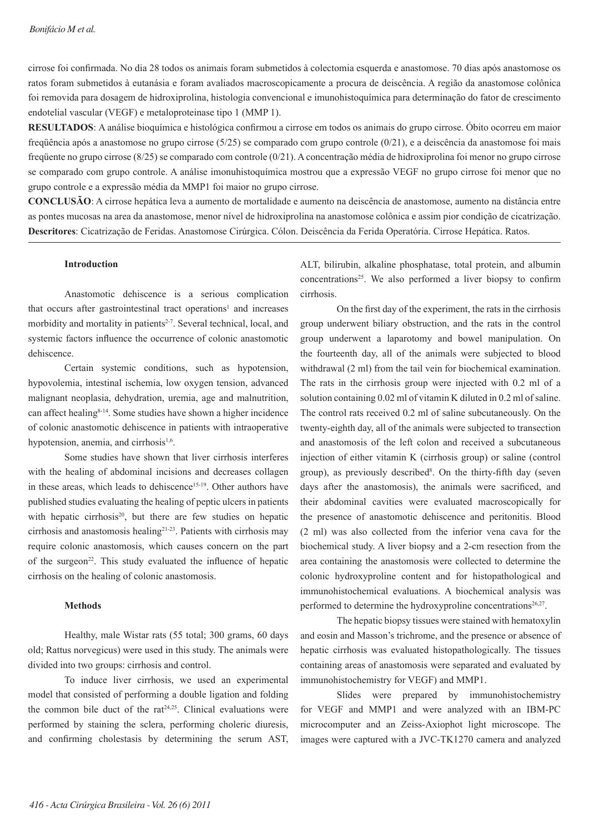cirrose foi confirmada. No dia 28 todos os animais foram submetidos à colectomia esquerda e anastomose. 70 dias após anastomose os ratos foram submetidos à eutanásia e foram avaliados macroscopicamente a procura de deiscência. A região da anastomose colônica foi removida para dosagem de hidroxiprolina, histologia convencional e imunohistoquímica para determinação do fator de crescimento endotelial vascular (VEGF) e metaloproteinase tipo 1 (MMP 1).

**RESULTADOS**: A análise bioquímica e histológica confirmou a cirrose em todos os animais do grupo cirrose. Óbito ocorreu em maior freqüência após a anastomose no grupo cirrose (5/25) se comparado com grupo controle (0/21), e a deiscência da anastomose foi mais freqüente no grupo cirrose (8/25) se comparado com controle (0/21). A concentração média de hidroxiprolina foi menor no grupo cirrose se comparado com grupo controle. A análise imonuhistoquímica mostrou que a expressão VEGF no grupo cirrose foi menor que no grupo controle e a expressão média da MMP1 foi maior no grupo cirrose.

**CONCLUSÃO**: A cirrose hepática leva a aumento de mortalidade e aumento na deiscência de anastomose, aumento na distância entre as pontes mucosas na area da anastomose, menor nível de hidroxiprolina na anastomose colônica e assim pior condição de cicatrização. **Descritores**: Cicatrização de Feridas. Anastomose Cirúrgica. Cólon. Deiscência da Ferida Operatória. Cirrose Hepática. Ratos.

## **Introduction**

Anastomotic dehiscence is a serious complication that occurs after gastrointestinal tract operations<sup>1</sup> and increases morbidity and mortality in patients<sup>2-7</sup>. Several technical, local, and systemic factors influence the occurrence of colonic anastomotic dehiscence.

Certain systemic conditions, such as hypotension, hypovolemia, intestinal ischemia, low oxygen tension, advanced malignant neoplasia, dehydration, uremia, age and malnutrition, can affect healing8-14. Some studies have shown a higher incidence of colonic anastomotic dehiscence in patients with intraoperative hypotension, anemia, and cirrhosis<sup>1,6</sup>.

Some studies have shown that liver cirrhosis interferes with the healing of abdominal incisions and decreases collagen in these areas, which leads to dehiscence<sup>15-19</sup>. Other authors have published studies evaluating the healing of peptic ulcers in patients with hepatic cirrhosis<sup>20</sup>, but there are few studies on hepatic cirrhosis and anastomosis healing<sup>21-23</sup>. Patients with cirrhosis may require colonic anastomosis, which causes concern on the part of the surgeon<sup>22</sup>. This study evaluated the influence of hepatic cirrhosis on the healing of colonic anastomosis.

## **Methods**

Healthy, male Wistar rats (55 total; 300 grams, 60 days old; Rattus norvegicus) were used in this study. The animals were divided into two groups: cirrhosis and control.

To induce liver cirrhosis, we used an experimental model that consisted of performing a double ligation and folding the common bile duct of the  $rat^{24,25}$ . Clinical evaluations were performed by staining the sclera, performing choleric diuresis, and confirming cholestasis by determining the serum AST,

ALT, bilirubin, alkaline phosphatase, total protein, and albumin  $concentrations<sup>25</sup>$ . We also performed a liver biopsy to confirm cirrhosis.

On the first day of the experiment, the rats in the cirrhosis group underwent biliary obstruction, and the rats in the control group underwent a laparotomy and bowel manipulation. On the fourteenth day, all of the animals were subjected to blood withdrawal (2 ml) from the tail vein for biochemical examination. The rats in the cirrhosis group were injected with 0.2 ml of a solution containing 0.02 ml of vitamin K diluted in 0.2 ml of saline. The control rats received 0.2 ml of saline subcutaneously. On the twenty-eighth day, all of the animals were subjected to transection and anastomosis of the left colon and received a subcutaneous injection of either vitamin K (cirrhosis group) or saline (control group), as previously described<sup>8</sup>. On the thirty-fifth day (seven days after the anastomosis), the animals were sacrificed, and their abdominal cavities were evaluated macroscopically for the presence of anastomotic dehiscence and peritonitis. Blood (2 ml) was also collected from the inferior vena cava for the biochemical study. A liver biopsy and a 2-cm resection from the area containing the anastomosis were collected to determine the colonic hydroxyproline content and for histopathological and immunohistochemical evaluations. A biochemical analysis was performed to determine the hydroxyproline concentrations<sup>26,27</sup>.

The hepatic biopsy tissues were stained with hematoxylin and eosin and Masson's trichrome, and the presence or absence of hepatic cirrhosis was evaluated histopathologically. The tissues containing areas of anastomosis were separated and evaluated by immunohistochemistry for VEGF) and MMP1.

Slides were prepared by immunohistochemistry for VEGF and MMP1 and were analyzed with an IBM-PC microcomputer and an Zeiss-Axiophot light microscope. The images were captured with a JVC-TK1270 camera and analyzed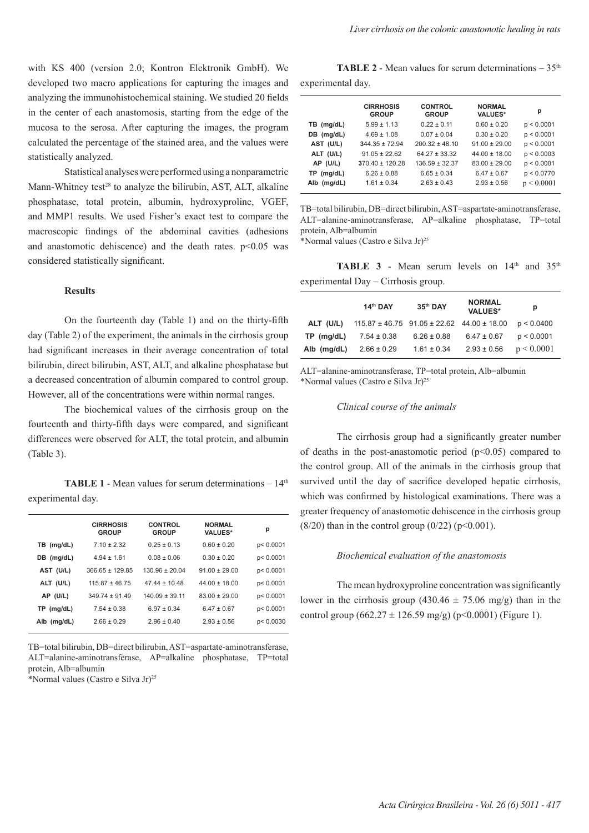with KS 400 (version 2.0; Kontron Elektronik GmbH). We developed two macro applications for capturing the images and analyzing the immunohistochemical staining. We studied 20 fields in the center of each anastomosis, starting from the edge of the mucosa to the serosa. After capturing the images, the program calculated the percentage of the stained area, and the values were statistically analyzed.

Statistical analyses were performed using a nonparametric Mann-Whitney test<sup>28</sup> to analyze the bilirubin, AST, ALT, alkaline phosphatase, total protein, albumin, hydroxyproline, VGEF, and MMP1 results. We used Fisher's exact test to compare the macroscopic findings of the abdominal cavities (adhesions and anastomotic dehiscence) and the death rates.  $p<0.05$  was considered statistically significant.

## **Results**

On the fourteenth day (Table 1) and on the thirty-fifth day (Table 2) of the experiment, the animals in the cirrhosis group had significant increases in their average concentration of total bilirubin, direct bilirubin, AST, ALT, and alkaline phosphatase but a decreased concentration of albumin compared to control group. However, all of the concentrations were within normal ranges.

The biochemical values of the cirrhosis group on the fourteenth and thirty-fifth days were compared, and significant differences were observed for ALT, the total protein, and albumin (Table 3).

**TABLE 1 - Mean values for serum determinations – 14<sup>th</sup>** experimental day.

|               | <b>CIRRHOSIS</b><br><b>GROUP</b> | <b>CONTROL</b><br><b>GROUP</b> | <b>NORMAL</b><br><b>VALUES*</b> | р          |
|---------------|----------------------------------|--------------------------------|---------------------------------|------------|
| TB (mg/dL)    | $710 + 232$                      | $0.25 + 0.13$                  | $0.60 \pm 0.20$                 | p < 0.0001 |
| DB (mg/dL)    | $4.94 \pm 1.61$                  | $0.08 \pm 0.06$                | $0.30 \pm 0.20$                 | p< 0.0001  |
| AST (U/L)     | $366.65 \pm 129.85$              | $130.96 + 20.04$               | $91.00 \pm 29.00$               | p < 0.0001 |
| ALT (U/L)     | $115.87 \pm 46.75$               | $47.44 \pm 10.48$              | $44.00 \pm 18.00$               | p < 0.0001 |
| $AP$ (U/L)    | $349.74 \pm 91.49$               | $140.09 \pm 39.11$             | $83.00 \pm 29.00$               | p < 0.0001 |
| $TP$ (mg/dL)  | $7.54 \pm 0.38$                  | $6.97 \pm 0.34$                | $6.47 \pm 0.67$                 | p < 0.0001 |
| Alb $(mg/dL)$ | $2.66 \pm 0.29$                  | $2.96 \pm 0.40$                | $2.93 \pm 0.56$                 | p < 0.0030 |

TB=total bilirubin, DB=direct bilirubin, AST=aspartate-aminotransferase, ALT=alanine-aminotransferase, AP=alkaline phosphatase, TP=total protein, Alb=albumin

\*Normal values (Castro e Silva Jr)25

**TABLE 2** - Mean values for serum determinations  $-35<sup>th</sup>$ experimental day.

|              | <b>CIRRHOSIS</b><br><b>GROUP</b> | <b>CONTROL</b><br><b>GROUP</b> | <b>NORMAL</b><br><b>VALUES*</b> | р          |
|--------------|----------------------------------|--------------------------------|---------------------------------|------------|
| TB (mg/dL)   | $5.99 \pm 1.13$                  | $0.22 \pm 0.11$                | $0.60 \pm 0.20$                 | p < 0.0001 |
| DB (mg/dL)   | $4.69 \pm 1.08$                  | $0.07 \pm 0.04$                | $0.30 \pm 0.20$                 | p < 0.0001 |
| AST (U/L)    | $344.35 \pm 72.94$               | $200.32 \pm 48.10$             | $91.00 \pm 29.00$               | p < 0.0001 |
| ALT (U/L)    | $91.05 \pm 22.62$                | $64.27 \pm 33.32$              | $44.00 \pm 18.00$               | p < 0.0003 |
| AP (U/L)     | $370.40 \pm 120.28$              | $136.59 \pm 32.37$             | $83.00 \pm 29.00$               | p < 0.0001 |
| $TP$ (mg/dL) | $6.26 \pm 0.88$                  | $6.65 \pm 0.34$                | $6.47 \pm 0.67$                 | p < 0.0770 |
| Alb (mg/dL)  | $1.61 \pm 0.34$                  | $2.63 \pm 0.43$                | $2.93 \pm 0.56$                 | p < 0.0001 |

TB=total bilirubin, DB=direct bilirubin, AST=aspartate-aminotransferase, ALT=alanine-aminotransferase, AP=alkaline phosphatase, TP=total protein, Alb=albumin

\*Normal values (Castro e Silva Jr)25

TABLE 3 - Mean serum levels on 14<sup>th</sup> and 35<sup>th</sup> experimental Day – Cirrhosis group.

|              | 14th DAY                                               | 35th DAY        | <b>NORMAL</b><br><b>VALUES*</b> | р          |
|--------------|--------------------------------------------------------|-----------------|---------------------------------|------------|
| ALT (U/L)    | $115.87 \pm 46.75$ 91.05 $\pm$ 22.62 44.00 $\pm$ 18.00 |                 |                                 | p < 0.0400 |
| $TP$ (mg/dL) | $7.54 \pm 0.38$                                        | $6.26 \pm 0.88$ | $6.47 \pm 0.67$                 | p < 0.0001 |
| Alb (mg/dL)  | $2.66 \pm 0.29$                                        | $1.61 \pm 0.34$ | $2.93 \pm 0.56$                 | p < 0.0001 |

ALT=alanine-aminotransferase, TP=total protein, Alb=albumin \*Normal values (Castro e Silva Jr)25

#### *Clinical course of the animals*

The cirrhosis group had a significantly greater number of deaths in the post-anastomotic period  $(p<0.05)$  compared to the control group. All of the animals in the cirrhosis group that survived until the day of sacrifice developed hepatic cirrhosis, which was confirmed by histological examinations. There was a greater frequency of anastomotic dehiscence in the cirrhosis group  $(8/20)$  than in the control group  $(0/22)$  (p<0.001).

## *Biochemical evaluation of the anastomosis*

The mean hydroxyproline concentration was significantly lower in the cirrhosis group (430.46  $\pm$  75.06 mg/g) than in the control group  $(662.27 \pm 126.59 \text{ mg/g})$   $(p<0.0001)$  (Figure 1).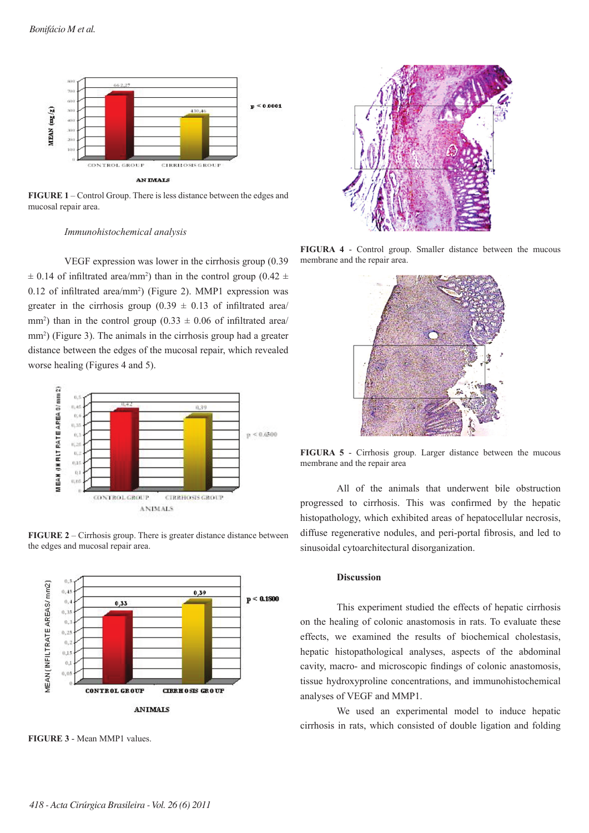

**FIGURE 1** – Control Group. There is less distance between the edges and mucosal repair area.

## *Immunohistochemical analysis*

VEGF expression was lower in the cirrhosis group (0.39  $\pm$  0.14 of infiltrated area/mm<sup>2</sup>) than in the control group (0.42  $\pm$ 0.12 of infiltrated area/mm<sup>2</sup>) (Figure 2). MMP1 expression was greater in the cirrhosis group  $(0.39 \pm 0.13)$  of infiltrated area/ mm<sup>2</sup>) than in the control group  $(0.33 \pm 0.06)$  of infiltrated area/ mm<sup>2</sup>) (Figure 3). The animals in the cirrhosis group had a greater distance between the edges of the mucosal repair, which revealed worse healing (Figures 4 and 5).



**FIGURE 2** – Cirrhosis group. There is greater distance distance between the edges and mucosal repair area.



**FIGURE 3** - Mean MMP1 values.



**FIGURA 4** - Control group. Smaller distance between the mucous membrane and the repair area.



**FIGURA 5** - Cirrhosis group. Larger distance between the mucous membrane and the repair area

All of the animals that underwent bile obstruction progressed to cirrhosis. This was confirmed by the hepatic histopathology, which exhibited areas of hepatocellular necrosis, diffuse regenerative nodules, and peri-portal fibrosis, and led to sinusoidal cytoarchitectural disorganization.

## **Discussion**

This experiment studied the effects of hepatic cirrhosis on the healing of colonic anastomosis in rats. To evaluate these effects, we examined the results of biochemical cholestasis, hepatic histopathological analyses, aspects of the abdominal cavity, macro- and microscopic findings of colonic anastomosis, tissue hydroxyproline concentrations, and immunohistochemical analyses of VEGF and MMP1.

We used an experimental model to induce hepatic cirrhosis in rats, which consisted of double ligation and folding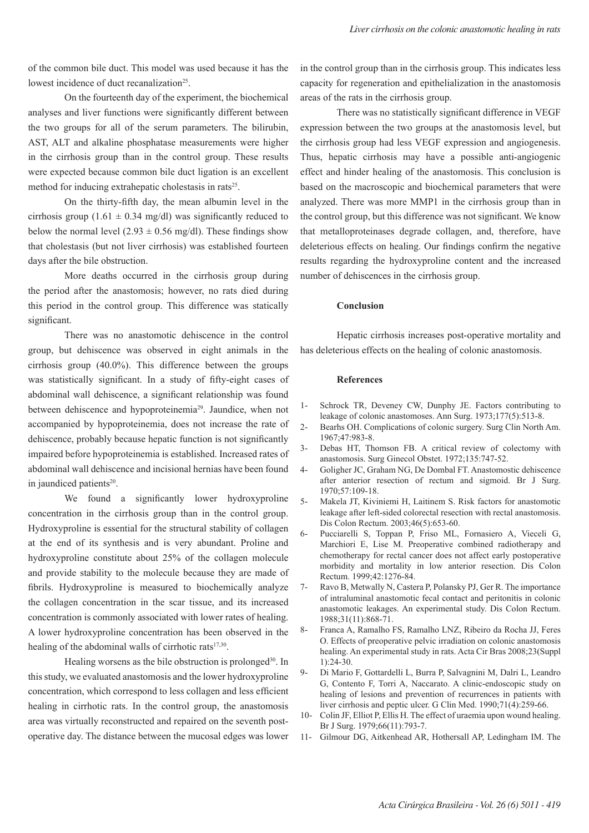of the common bile duct. This model was used because it has the lowest incidence of duct recanalization<sup>25</sup>.

On the fourteenth day of the experiment, the biochemical analyses and liver functions were significantly different between the two groups for all of the serum parameters. The bilirubin, AST, ALT and alkaline phosphatase measurements were higher in the cirrhosis group than in the control group. These results were expected because common bile duct ligation is an excellent method for inducing extrahepatic cholestasis in rats<sup>25</sup>.

On the thirty-fifth day, the mean albumin level in the cirrhosis group (1.61  $\pm$  0.34 mg/dl) was significantly reduced to below the normal level  $(2.93 \pm 0.56 \text{ mg/dl})$ . These findings show that cholestasis (but not liver cirrhosis) was established fourteen days after the bile obstruction.

More deaths occurred in the cirrhosis group during the period after the anastomosis; however, no rats died during this period in the control group. This difference was statically significant.

There was no anastomotic dehiscence in the control group, but dehiscence was observed in eight animals in the cirrhosis group (40.0%). This difference between the groups was statistically significant. In a study of fifty-eight cases of abdominal wall dehiscence, a significant relationship was found between dehiscence and hypoproteinemia<sup>29</sup>. Jaundice, when not accompanied by hypoproteinemia, does not increase the rate of dehiscence, probably because hepatic function is not significantly impaired before hypoproteinemia is established. Increased rates of abdominal wall dehiscence and incisional hernias have been found in jaundiced patients<sup>20</sup>.

We found a significantly lower hydroxyproline concentration in the cirrhosis group than in the control group. Hydroxyproline is essential for the structural stability of collagen at the end of its synthesis and is very abundant. Proline and hydroxyproline constitute about 25% of the collagen molecule and provide stability to the molecule because they are made of fibrils. Hydroxyproline is measured to biochemically analyze the collagen concentration in the scar tissue, and its increased concentration is commonly associated with lower rates of healing. A lower hydroxyproline concentration has been observed in the healing of the abdominal walls of cirrhotic rats $17,30$ .

Healing worsens as the bile obstruction is prolonged<sup>30</sup>. In this study, we evaluated anastomosis and the lower hydroxyproline concentration, which correspond to less collagen and less efficient healing in cirrhotic rats. In the control group, the anastomosis area was virtually reconstructed and repaired on the seventh postoperative day. The distance between the mucosal edges was lower

in the control group than in the cirrhosis group. This indicates less capacity for regeneration and epithelialization in the anastomosis areas of the rats in the cirrhosis group.

There was no statistically significant difference in VEGF expression between the two groups at the anastomosis level, but the cirrhosis group had less VEGF expression and angiogenesis. Thus, hepatic cirrhosis may have a possible anti-angiogenic effect and hinder healing of the anastomosis. This conclusion is based on the macroscopic and biochemical parameters that were analyzed. There was more MMP1 in the cirrhosis group than in the control group, but this difference was not significant. We know that metalloproteinases degrade collagen, and, therefore, have deleterious effects on healing. Our findings confirm the negative results regarding the hydroxyproline content and the increased number of dehiscences in the cirrhosis group.

## **Conclusion**

Hepatic cirrhosis increases post-operative mortality and has deleterious effects on the healing of colonic anastomosis.

#### **References**

- 1- Schrock TR, Deveney CW, Dunphy JE. Factors contributing to leakage of colonic anastomoses. Ann Surg. 1973;177(5):513-8.
- 2- Bearhs OH. Complications of colonic surgery. Surg Clin North Am. 1967;47:983-8.
- 3- Debas HT, Thomson FB. A critical review of colectomy with anastomosis. Surg Ginecol Obstet. 1972;135:747-52.
- 4- Goligher JC, Graham NG, De Dombal FT. Anastomostic dehiscence after anterior resection of rectum and sigmoid. Br J Surg. 1970;57:109-18.
- 5- Makela JT, Kiviniemi H, Laitinem S. Risk factors for anastomotic leakage after left-sided colorectal resection with rectal anastomosis. Dis Colon Rectum. 2003;46(5):653-60.
- 6- Pucciarelli S, Toppan P, Friso ML, Fornasiero A, Vieceli G, Marchiori E, Lise M. Preoperative combined radiotherapy and chemotherapy for rectal cancer does not affect early postoperative morbidity and mortality in low anterior resection. Dis Colon Rectum. 1999;42:1276-84.
- 7- Ravo B, Metwally N, Castera P, Polansky PJ, Ger R. The importance of intraluminal anastomotic fecal contact and peritonitis in colonic anastomotic leakages. An experimental study. Dis Colon Rectum. 1988;31(11):868-71.
- 8- Franca A, Ramalho FS, Ramalho LNZ, Ribeiro da Rocha JJ, Feres O. Effects of preoperative pelvic irradiation on colonic anastomosis healing. An experimental study in rats. Acta Cir Bras 2008;23(Suppl 1):24-30.
- 9- Di Mario F, Gottardelli L, Burra P, Salvagnini M, Dalri L, Leandro G, Contento F, Torri A, Naccarato. A clinic-endoscopic study on healing of lesions and prevention of recurrences in patients with liver cirrhosis and peptic ulcer. G Clin Med. 1990;71(4):259-66.
- 10- Colin JF, Elliot P, Ellis H. The effect of uraemia upon wound healing. Br J Surg. 1979;66(11):793-7.
- 11- Gilmour DG, Aitkenhead AR, Hothersall AP, Ledingham IM. The